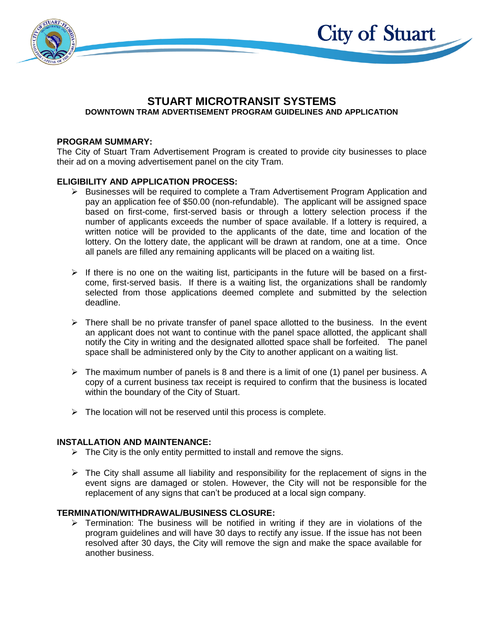

### **STUART MICROTRANSIT SYSTEMS DOWNTOWN TRAM ADVERTISEMENT PROGRAM GUIDELINES AND APPLICATION**

City of Stuart

### **PROGRAM SUMMARY:**

The City of Stuart Tram Advertisement Program is created to provide city businesses to place their ad on a moving advertisement panel on the city Tram.

### **ELIGIBILITY AND APPLICATION PROCESS:**

- ➢ Businesses will be required to complete a Tram Advertisement Program Application and pay an application fee of \$50.00 (non-refundable). The applicant will be assigned space based on first-come, first-served basis or through a lottery selection process if the number of applicants exceeds the number of space available. If a lottery is required, a written notice will be provided to the applicants of the date, time and location of the lottery. On the lottery date, the applicant will be drawn at random, one at a time. Once all panels are filled any remaining applicants will be placed on a waiting list.
- $\triangleright$  If there is no one on the waiting list, participants in the future will be based on a firstcome, first-served basis. If there is a waiting list, the organizations shall be randomly selected from those applications deemed complete and submitted by the selection deadline.
- $\triangleright$  There shall be no private transfer of panel space allotted to the business. In the event an applicant does not want to continue with the panel space allotted, the applicant shall notify the City in writing and the designated allotted space shall be forfeited. The panel space shall be administered only by the City to another applicant on a waiting list.
- $\triangleright$  The maximum number of panels is 8 and there is a limit of one (1) panel per business. A copy of a current business tax receipt is required to confirm that the business is located within the boundary of the City of Stuart.
- $\triangleright$  The location will not be reserved until this process is complete.

### **INSTALLATION AND MAINTENANCE:**

- $\triangleright$  The City is the only entity permitted to install and remove the signs.
- $\triangleright$  The City shall assume all liability and responsibility for the replacement of signs in the event signs are damaged or stolen. However, the City will not be responsible for the replacement of any signs that can't be produced at a local sign company.

### **TERMINATION/WITHDRAWAL/BUSINESS CLOSURE:**

 $\triangleright$  Termination: The business will be notified in writing if they are in violations of the program guidelines and will have 30 days to rectify any issue. If the issue has not been resolved after 30 days, the City will remove the sign and make the space available for another business.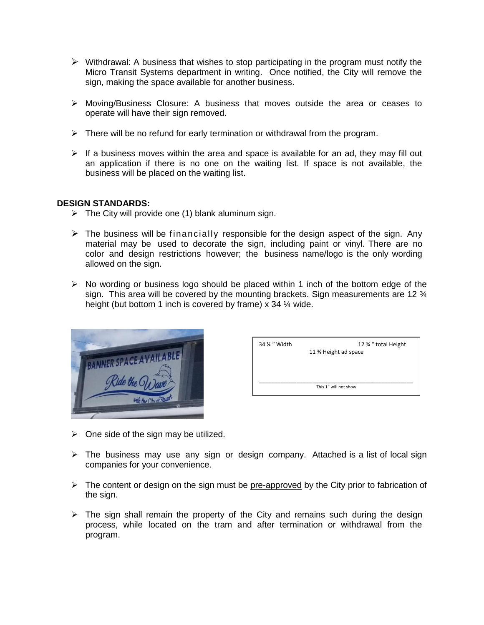- $\triangleright$  Withdrawal: A business that wishes to stop participating in the program must notify the Micro Transit Systems department in writing. Once notified, the City will remove the sign, making the space available for another business.
- ➢ Moving/Business Closure: A business that moves outside the area or ceases to operate will have their sign removed.
- $\triangleright$  There will be no refund for early termination or withdrawal from the program.
- $\triangleright$  If a business moves within the area and space is available for an ad, they may fill out an application if there is no one on the waiting list. If space is not available, the business will be placed on the waiting list.

### **DESIGN STANDARDS:**

- $\triangleright$  The City will provide one (1) blank aluminum sign.
- $\triangleright$  The business will be financially responsible for the design aspect of the sign. Any material may be used to decorate the sign, including paint or vinyl. There are no color and design restrictions however; the business name/logo is the only wording allowed on the sign.
- $\triangleright$  No wording or business logo should be placed within 1 inch of the bottom edge of the sign. This area will be covered by the mounting brackets. Sign measurements are 12  $\frac{3}{4}$ height (but bottom 1 inch is covered by frame)  $\overline{x}$  34  $\frac{1}{4}$  wide.



| 34 % " Width | 12 % " total Height<br>11 % Height ad space |
|--------------|---------------------------------------------|
|              | This 1" will not show                       |

- $\triangleright$  One side of the sign may be utilized.
- ➢ The business may use any sign or design company. Attached is a list of local sign companies for your convenience.
- ➢ The content or design on the sign must be pre-approved by the City prior to fabrication of the sign.
- $\triangleright$  The sign shall remain the property of the City and remains such during the design process, while located on the tram and after termination or withdrawal from the program.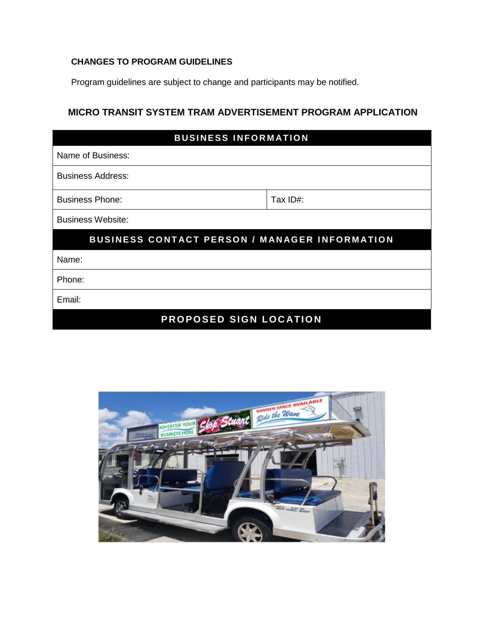## **CHANGES TO PROGRAM GUIDELINES**

Program guidelines are subject to change and participants may be notified.

## **MICRO TRANSIT SYSTEM TRAM ADVERTISEMENT PROGRAM APPLICATION**

| <b>BUSINESS INFORMATION</b>                          |          |  |  |
|------------------------------------------------------|----------|--|--|
| Name of Business:                                    |          |  |  |
| <b>Business Address:</b>                             |          |  |  |
| <b>Business Phone:</b>                               | Tax ID#: |  |  |
| <b>Business Website:</b>                             |          |  |  |
| <b>BUSINESS CONTACT PERSON / MANAGER INFORMATION</b> |          |  |  |
| Name:                                                |          |  |  |
| Phone:                                               |          |  |  |
| Email:                                               |          |  |  |
| PROPOSED SIGN LOCATION                               |          |  |  |

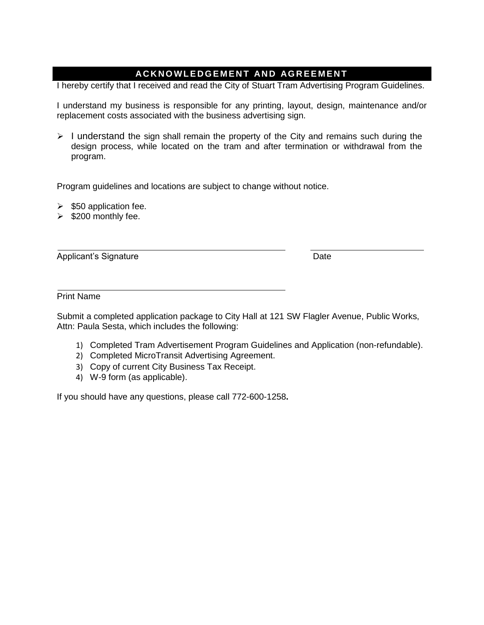## **AC K N O W L E D G E M E N T AN D AG R E E M E N T**

I hereby certify that I received and read the City of Stuart Tram Advertising Program Guidelines.

I understand my business is responsible for any printing, layout, design, maintenance and/or replacement costs associated with the business advertising sign.

 $\triangleright$  I understand the sign shall remain the property of the City and remains such during the design process, while located on the tram and after termination or withdrawal from the program.

Program guidelines and locations are subject to change without notice.

- $\geq$  \$50 application fee.
- ➢ \$200 monthly fee.

Applicant's Signature **Date** Date **Date** 

Print Name

Submit a completed application package to City Hall at 121 SW Flagler Avenue, Public Works, Attn: Paula Sesta, which includes the following:

- 1) Completed Tram Advertisement Program Guidelines and Application (non-refundable).
- 2) Completed MicroTransit Advertising Agreement.
- 3) Copy of current City Business Tax Receipt.
- 4) W-9 form (as applicable).

If you should have any questions, please call 772-600-1258**.**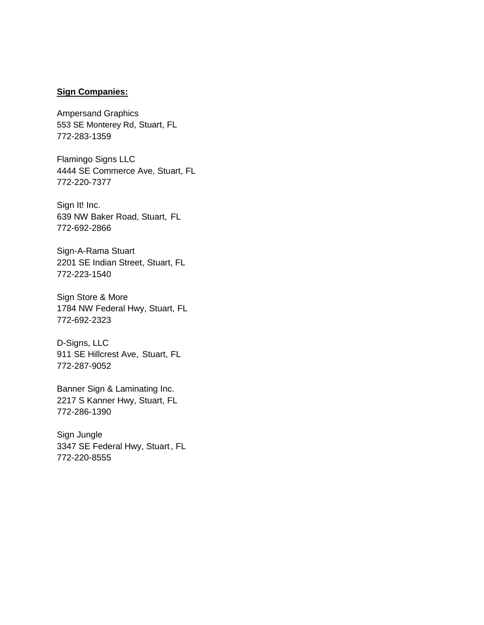### **Sign Companies:**

Ampersand Graphics 553 SE Monterey Rd, Stuart, FL 772-283-1359

Flamingo Signs LLC 4444 SE Commerce Ave, Stuart, FL 772-220-7377

Sign It! Inc. 639 NW Baker Road, Stuart, FL 772-692-2866

Sign-A-Rama Stuart 2201 SE Indian Street, Stuart, FL 772-223-1540

Sign Store & More 1784 NW Federal Hwy, Stuart, FL 772-692-2323

D-Signs, LLC 911 SE Hillcrest Ave, Stuart, FL 772-287-9052

Banner Sign & Laminating Inc. 2217 S Kanner Hwy, Stuart, FL 772-286-1390

Sign Jungle 3347 SE Federal Hwy, Stuart, FL 772-220-8555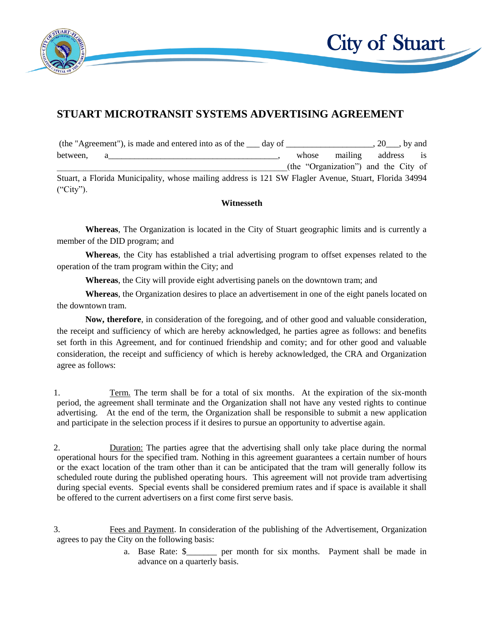

# **STUART MICROTRANSIT SYSTEMS ADVERTISING AGREEMENT**

| (the "Agreement"), is made and entered into as of the <u>s</u> day of                                 |       |         | $\therefore$ 20 $\qquad$ , by and    |               |
|-------------------------------------------------------------------------------------------------------|-------|---------|--------------------------------------|---------------|
| between,                                                                                              | whose | mailing | address                              | $\frac{1}{1}$ |
|                                                                                                       |       |         | (the "Organization") and the City of |               |
| Stuart, a Florida Municipality, whose mailing address is 121 SW Flagler Avenue, Stuart, Florida 34994 |       |         |                                      |               |
| ("City").                                                                                             |       |         |                                      |               |

### **Witnesseth**

**Whereas**, The Organization is located in the City of Stuart geographic limits and is currently a member of the DID program; and

**Whereas**, the City has established a trial advertising program to offset expenses related to the operation of the tram program within the City; and

**Whereas**, the City will provide eight advertising panels on the downtown tram; and

**Whereas**, the Organization desires to place an advertisement in one of the eight panels located on the downtown tram.

**Now, therefore**, in consideration of the foregoing, and of other good and valuable consideration, the receipt and sufficiency of which are hereby acknowledged, he parties agree as follows: and benefits set forth in this Agreement, and for continued friendship and comity; and for other good and valuable consideration, the receipt and sufficiency of which is hereby acknowledged, the CRA and Organization agree as follows:

1. Term. The term shall be for a total of six months. At the expiration of the six-month period, the agreement shall terminate and the Organization shall not have any vested rights to continue advertising. At the end of the term, the Organization shall be responsible to submit a new application and participate in the selection process if it desires to pursue an opportunity to advertise again.

2. Duration: The parties agree that the advertising shall only take place during the normal operational hours for the specified tram. Nothing in this agreement guarantees a certain number of hours or the exact location of the tram other than it can be anticipated that the tram will generally follow its scheduled route during the published operating hours. This agreement will not provide tram advertising during special events. Special events shall be considered premium rates and if space is available it shall be offered to the current advertisers on a first come first serve basis.

- 3. Fees and Payment. In consideration of the publishing of the Advertisement, Organization agrees to pay the City on the following basis:
	- a. Base Rate: \$ per month for six months. Payment shall be made in advance on a quarterly basis.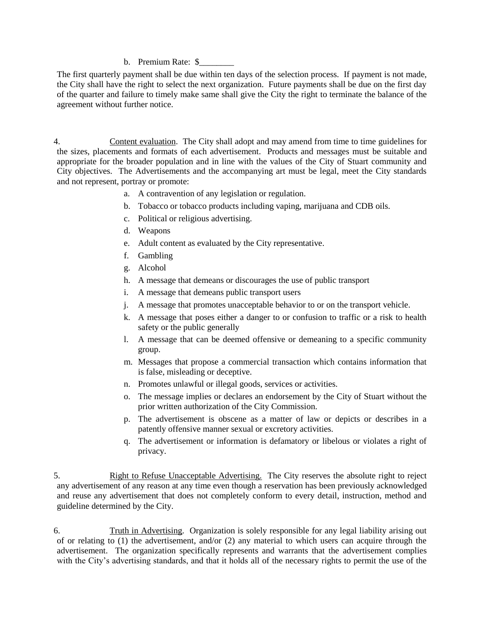#### b. Premium Rate: \$

The first quarterly payment shall be due within ten days of the selection process. If payment is not made, the City shall have the right to select the next organization. Future payments shall be due on the first day of the quarter and failure to timely make same shall give the City the right to terminate the balance of the agreement without further notice.

4. Content evaluation. The City shall adopt and may amend from time to time guidelines for the sizes, placements and formats of each advertisement. Products and messages must be suitable and appropriate for the broader population and in line with the values of the City of Stuart community and City objectives. The Advertisements and the accompanying art must be legal, meet the City standards and not represent, portray or promote:

- a. A contravention of any legislation or regulation.
- b. Tobacco or tobacco products including vaping, marijuana and CDB oils.
- c. Political or religious advertising.
- d. Weapons
- e. Adult content as evaluated by the City representative.
- f. Gambling
- g. Alcohol
- h. A message that demeans or discourages the use of public transport
- i. A message that demeans public transport users
- j. A message that promotes unacceptable behavior to or on the transport vehicle.
- k. A message that poses either a danger to or confusion to traffic or a risk to health safety or the public generally
- l. A message that can be deemed offensive or demeaning to a specific community group.
- m. Messages that propose a commercial transaction which contains information that is false, misleading or deceptive.
- n. Promotes unlawful or illegal goods, services or activities.
- o. The message implies or declares an endorsement by the City of Stuart without the prior written authorization of the City Commission.
- p. The advertisement is obscene as a matter of law or depicts or describes in a patently offensive manner sexual or excretory activities.
- q. The advertisement or information is defamatory or libelous or violates a right of privacy.

5. Right to Refuse Unacceptable Advertising. The City reserves the absolute right to reject any advertisement of any reason at any time even though a reservation has been previously acknowledged and reuse any advertisement that does not completely conform to every detail, instruction, method and guideline determined by the City.

6. Truth in Advertising. Organization is solely responsible for any legal liability arising out of or relating to (1) the advertisement, and/or (2) any material to which users can acquire through the advertisement. The organization specifically represents and warrants that the advertisement complies with the City's advertising standards, and that it holds all of the necessary rights to permit the use of the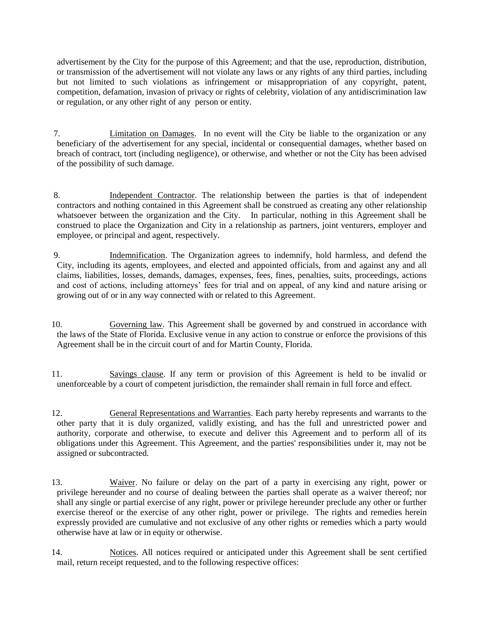advertisement by the City for the purpose of this Agreement; and that the use, reproduction, distribution, or transmission of the advertisement will not violate any laws or any rights of any third parties, including but not limited to such violations as infringement or misappropriation of any copyright, patent, competition, defamation, invasion of privacy or rights of celebrity, violation of any antidiscrimination law or regulation, or any other right of any person or entity.

- 7. Limitation on Damages. In no event will the City be liable to the organization or any beneficiary of the advertisement for any special, incidental or consequential damages, whether based on breach of contract, tort (including negligence), or otherwise, and whether or not the City has been advised of the possibility of such damage.
- 8. Independent Contractor. The relationship between the parties is that of independent contractors and nothing contained in this Agreement shall be construed as creating any other relationship whatsoever between the organization and the City. In particular, nothing in this Agreement shall be construed to place the Organization and City in a relationship as partners, joint venturers, employer and employee, or principal and agent, respectively.
- 9. Indemnification. The Organization agrees to indemnify, hold harmless, and defend the City, including its agents, employees, and elected and appointed officials, from and against any and all claims, liabilities, losses, demands, damages, expenses, fees, fines, penalties, suits, proceedings, actions and cost of actions, including attorneys' fees for trial and on appeal, of any kind and nature arising or growing out of or in any way connected with or related to this Agreement.
- 10. Governing law. This Agreement shall be governed by and construed in accordance with the laws of the State of Florida. Exclusive venue in any action to construe or enforce the provisions of this Agreement shall be in the circuit court of and for Martin County, Florida.
- 11. Savings clause. If any term or provision of this Agreement is held to be invalid or unenforceable by a court of competent jurisdiction, the remainder shall remain in full force and effect.
- 12. General Representations and Warranties. Each party hereby represents and warrants to the other party that it is duly organized, validly existing, and has the full and unrestricted power and authority, corporate and otherwise, to execute and deliver this Agreement and to perform all of its obligations under this Agreement. This Agreement, and the parties' responsibilities under it, may not be assigned or subcontracted.
- 13. Waiver. No failure or delay on the part of a party in exercising any right, power or privilege hereunder and no course of dealing between the parties shall operate as a waiver thereof; nor shall any single or partial exercise of any right, power or privilege hereunder preclude any other or further exercise thereof or the exercise of any other right, power or privilege. The rights and remedies herein expressly provided are cumulative and not exclusive of any other rights or remedies which a party would otherwise have at law or in equity or otherwise.
- 14. Notices. All notices required or anticipated under this Agreement shall be sent certified mail, return receipt requested, and to the following respective offices: